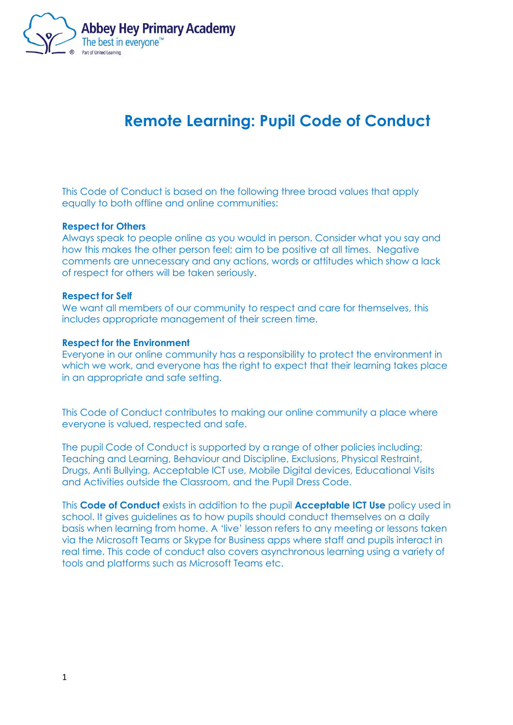

# **Remote Learning: Pupil Code of Conduct**

This Code of Conduct is based on the following three broad values that apply equally to both offline and online communities:

### **Respect for Others**

Always speak to people online as you would in person. Consider what you say and how this makes the other person feel; aim to be positive at all times. Negative comments are unnecessary and any actions, words or attitudes which show a lack of respect for others will be taken seriously.

#### **Respect for Self**

We want all members of our community to respect and care for themselves, this includes appropriate management of their screen time.

#### **Respect for the Environment**

Everyone in our online community has a responsibility to protect the environment in which we work, and everyone has the right to expect that their learning takes place in an appropriate and safe setting.

This Code of Conduct contributes to making our online community a place where everyone is valued, respected and safe.

The pupil Code of Conduct is supported by a range of other policies including: Teaching and Learning, Behaviour and Discipline, Exclusions, Physical Restraint, Drugs, Anti Bullying, Acceptable ICT use, Mobile Digital devices, Educational Visits and Activities outside the Classroom, and the Pupil Dress Code.

This **Code of Conduct** exists in addition to the pupil **Acceptable ICT Use** policy used in school. It gives guidelines as to how pupils should conduct themselves on a daily basis when learning from home. A 'live' lesson refers to any meeting or lessons taken via the Microsoft Teams or Skype for Business apps where staff and pupils interact in real time. This code of conduct also covers asynchronous learning using a variety of tools and platforms such as Microsoft Teams etc.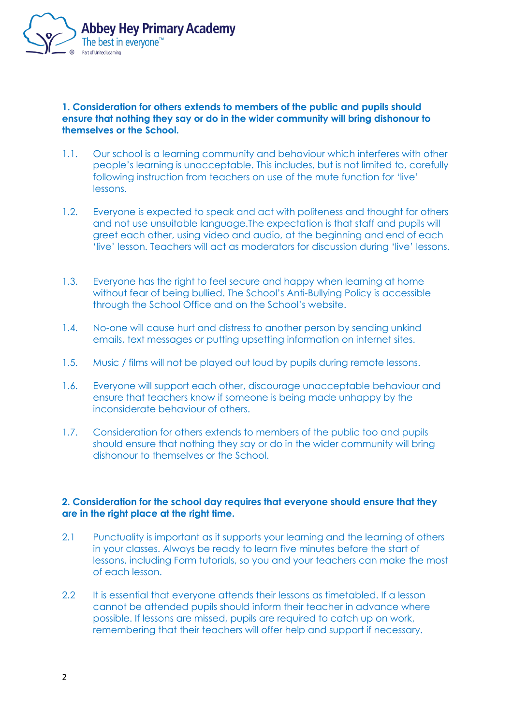

# **1. Consideration for others extends to members of the public and pupils should ensure that nothing they say or do in the wider community will bring dishonour to themselves or the School.**

- 1.1. Our school is a learning community and behaviour which interferes with other people's learning is unacceptable. This includes, but is not limited to, carefully following instruction from teachers on use of the mute function for 'live' lessons.
- 1.2. Everyone is expected to speak and act with politeness and thought for others and not use unsuitable language.The expectation is that staff and pupils will greet each other, using video and audio, at the beginning and end of each 'live' lesson. Teachers will act as moderators for discussion during 'live' lessons.
- 1.3. Everyone has the right to feel secure and happy when learning at home without fear of being bullied. The School's Anti-Bullying Policy is accessible through the School Office and on the School's website.
- 1.4. No-one will cause hurt and distress to another person by sending unkind emails, text messages or putting upsetting information on internet sites.
- 1.5. Music / films will not be played out loud by pupils during remote lessons.
- 1.6. Everyone will support each other, discourage unacceptable behaviour and ensure that teachers know if someone is being made unhappy by the inconsiderate behaviour of others.
- 1.7. Consideration for others extends to members of the public too and pupils should ensure that nothing they say or do in the wider community will bring dishonour to themselves or the School.

## **2. Consideration for the school day requires that everyone should ensure that they are in the right place at the right time.**

- 2.1 Punctuality is important as it supports your learning and the learning of others in your classes. Always be ready to learn five minutes before the start of lessons, including Form tutorials, so you and your teachers can make the most of each lesson.
- 2.2 It is essential that everyone attends their lessons as timetabled. If a lesson cannot be attended pupils should inform their teacher in advance where possible. If lessons are missed, pupils are required to catch up on work, remembering that their teachers will offer help and support if necessary.